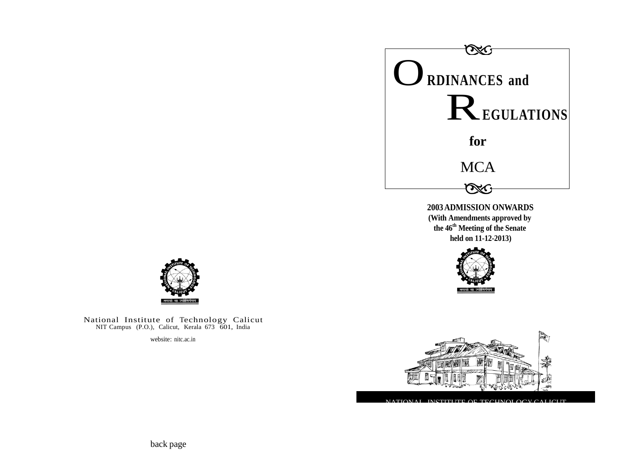



National Institute of Technology Calicut NIT Campus (P.O.), Calicut, Kerala 673 601, India

website: nitc.ac.in



NATIONAL INSTITUTE OF TECHNOLOGY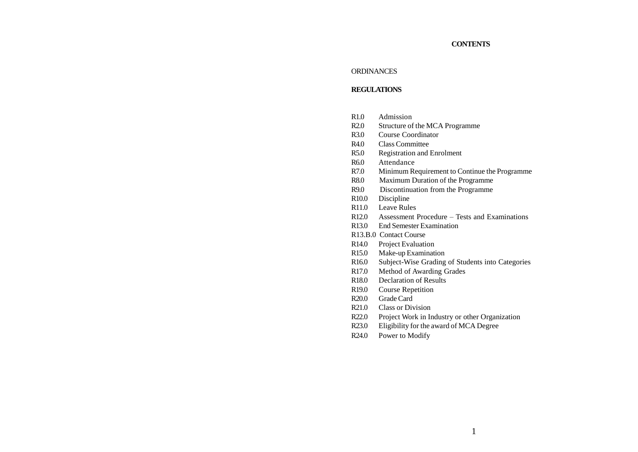# **CONTENTS**

# ORDINANCES

#### **REGULATIONS**

- R1.0 Admission
- R2.0 Structure of the MCA Programme
- R3.0 Course Coordinator
- R4.0 Class Committee
- R5.0 Registration and Enrolment
- R6.0 Attendance
- R7.0 Minimum Requirement to Continue the Programme<br>R8.0 Maximum Duration of the Programme
- Maximum Duration of the Programme
- R9.0 Discontinuation from the Programme<br>R10.0 Discipline
- Discipline
- R11.0 Leave Rules
- R12.0 Assessment Procedure Tests and Examinations
- R13.0 End Semester Examination
- R13.B.0 Contact Course
- R14.0 Project Evaluation
- R15.0 Make-up Examination
- R16.0 Subject-Wise Grading of Students into Categories
- R17.0 Method of Awarding Grades
- R18.0 Declaration of Results
- R19.0 Course Repetition
- R20.0 Grade Card
- R21.0 Class or Division
- R22.0 Project Work in Industry or other Organization
- R23.0 Eligibility for the award of MCA Degree
- R24.0 Power to Modify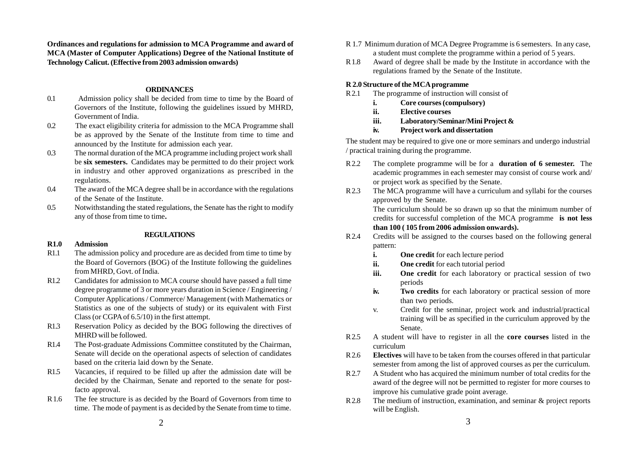**Ordinances and regulations for admission to MCA Programme and award of MCA (Master of Computer Applications) Degree of the National Institute of Technology Calicut. (Effective from 2003 admission onwards)**

# **ORDINANCES**

- 0.1 Admission policy shall be decided from time to time by the Board of Governors of the Institute, following the guidelines issued by MHRD, Government of India.
- 0.2 The exact eligibility criteria for admission to the MCA Programme shall be as approved by the Senate of the Institute from time to time and announced by the Institute for admission each year.
- be **six semesters.** Candidates may be permitted to do their project work in industry and other approved organizations as prescribed in the regulations. 0.3 The normal duration of the MCA programme including project work shall
- 0.4 The award of the MCA degree shall be in accordance with the regulations of the Senate of the Institute.
- 0.5 Notwithstanding the stated regulations, the Senate has the right to modify any of those from time to time**.**

# **REGULATIONS**

#### **R1.0 Admission**

- R1.1 The admission policy and procedure are as decided from time to time by the Board of Governors (BOG) of the Institute following the guidelines **ii.** One credit for each tutorial period from MHRD. Govt. of India.
- R1.2 Candidates for admission to MCA course should have passed a full time periods periods degree programme of 3 or more years duration in Science / Engineering / Computer Applications / Commerce/ Management (with Mathematics or than two periods. Statistics as one of the subjects of study) or its equivalent with First v. Credit for the seminar, project work and industrial/practical Class (or CGPA of 6.5/10) in the first attempt.
- R1.3 Reservation Policy as decided by the BOG following the directives of Senate.<br>MHRD will be followed.
- R1.4 The Post-graduate Admissions Committee constituted by the Chairman, curriculum curriculum Senate will decide on the operational aspects of selection of candidates R 2.6 Flectives w
- R1.5 Vacancies, if required to be filled up after the admission date will be R2.7 A Student who has acquired the minimum number of total credits for the decree will not be negative to require the minimum number of total cr
- facto approval.<br>The fee structure is as decided by the Board of Governors from time to **the property** R 2.8 The medium of instruction examination and R1.6 The fee structure is as decided by the Board of Governors from time to R2.8 The medium of instruction, examination, and seminar & project reports time. The mode of payment is as decided by the Senate from time to time. will be English.
- R 1.7 Minimum duration of MCA Degree Programme is 6 semesters. In any case, a student must complete the programme within a period of 5 years.
- R1.8 Award of degree shall be made by the Institute in accordance with the regulations framed by the Senate of the Institute.

# **R** 2.0 Structure of the MCA programme

- R2.1 The programme of instruction will consist of
	- **i. Core courses(compulsory)**
	- **ii. Elective courses**
	- **iii. Laboratory/Seminar/Mini Project &**
	- **iv. Project work and dissertation**

The student may be required to give one or more seminars and undergo industrial / practical training during the programme.

- R2.2 The complete programme will be for a **duration of 6 semester.** The academic programmes in each semester may consist of course work and/ or project work as specified by the Senate.
- R2.3 The MCA programme will have a curriculum and syllabi for the courses approved by the Senate.

The curriculum should be so drawn up so that the minimum number of credits for successful completion of the MCA programme **is not less than 100 ( 105 from 2006 admission onwards).**

- R2.4 Credits will be assigned to the courses based on the following general pattern:
	- **i.** One credit for each lecture period
	-
	- **iii.** One credit for each laboratory or practical session of two
	- **iv.** Two **credits** for each laboratory or practical session of more
	- training will be as specified in the curriculum approved by the
- R2.5 A student will have to register in all the **core courses** listed in the
- Senate will decide on the operational aspects of selection of candidates R2.6 **Electives** will have to be taken from the courses offered in that particular based on the criteria laid down by the Senate. based on the criteria laid down by the Senate.<br>Vacancies, if required to be filled up after the admission date will be **Senatively** R27 A Student who has acquired the minimum number of total credits for the
- decided by the Chairman, Senate and reported to the senate for post-<br>
facto approval.<br>
improve his cumulative grade point average
	-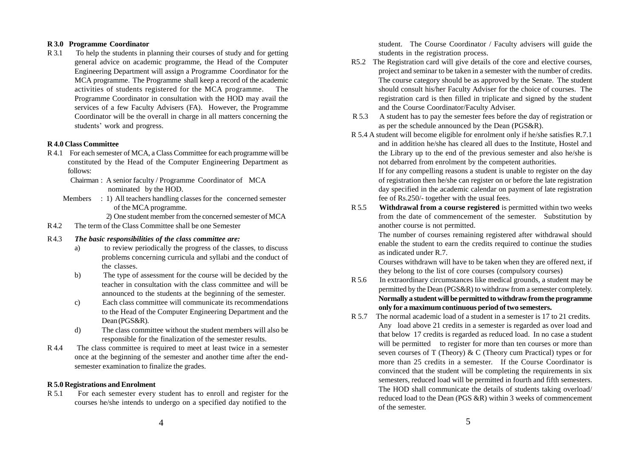# **R 3.0 Programme Coordinator**

R 3.1 To help the students in planning their courses of study and for getting general advice on academic programme, the Head of the Computer Engineering Department will assign a Programme Coordinator for the MCA programme. The Programme shall keep a record of the academic activities of students registered for the MCA programme. The Programme Coordinator in consultation with the HOD may avail the services of a few Faculty Advisers (FA). However, the Programme Coordinator will be the overall in charge in all matters concerning the students' work and progress.

# **R 4.0 Class Committee**

R 4.1 For each semester of MCA, a Class Committee for each programme will be constituted by the Head of the Computer Engineering Department as follows:

Chairman : A senior faculty / Programme Coordinator of MCA nominated by the HOD.

Members : 1) All teachers handling classes for the concerned semester of the MCA programme.

2) One student member from the concerned semester of MCA

R4.2 The term of the Class Committee shall be one Semester

# R4.3 *The basic responsibilities of the class committee are:*

- a) to review periodically the progress of the classes, to discuss problems concerning curricula and syllabi and the conduct of the classes.
- b) The type of assessment for the course will be decided by the teacher in consultation with the class committee and will be announced to the students at the beginning of the semester.
- c) Each class committee will communicate its recommendations to the Head of the Computer Engineering Department and the Dean (PGS&R).
- d) The class committee without the student members will also be responsible for the finalization of the semester results.
- R 4.4 The class committee is required to meet at least twice in a semester once at the beginning of the semester and another time after the endsemester examination to finalize the grades.

# **R 5.0 Registrations and Enrolment**

R 5.1 For each semester every student has to enroll and register for the courses he/she intends to undergo on a specified day notified to the

student. The Course Coordinator / Faculty advisers will guide the students in the registration process.

- R5.2 The Registration card will give details of the core and elective courses, project and seminar to be taken in a semester with the number of credits. The course category should be as approved by the Senate. The student should consult his/her Faculty Adviser for the choice of courses. The registration card is then filled in triplicate and signed by the student and the Course Coordinator/Faculty Adviser.
- R 5.3 A student has to pay the semester fees before the day of registration or as per the schedule announced by the Dean (PGS&R).
- R 5.4 A student will become eligible for enrolment only if he/she satisfies R.7.1 and in addition he/she has cleared all dues to the Institute, Hostel and the Library up to the end of the previous semester and also he/she is not debarred from enrolment by the competent authorities. If for any compelling reasons a student is unable to register on the day of registration then he/she can register on or before the late registration day specified in the academic calendar on payment of late registration fee of Rs.250/- together with the usual fees.
- R 5.5 **Withdrawal from a course registered** is permitted within two weeks from the date of commencement of the semester. Substitution by another course is not permitted.

The number of courses remaining registered after withdrawal should enable the student to earn the credits required to continue the studies as indicated under R.7.

Courses withdrawn will have to be taken when they are offered next, if they belong to the list of core courses (compulsory courses)

- R 5.6 In extraordinary circumstances like medical grounds, a student may be permitted by the Dean (PGS&R) to withdraw from a semester completely. **Normally a student will be permitted to withdraw fromthe programme only for a maximum continuous period oftwo semesters.**
- R 5.7 The normal academic load of a student in a semester is 17 to 21 credits. Any load above 21 credits in a semester is regarded as over load and that below 17 credits is regarded as reduced load. In no case a student will be permitted to register for more than ten courses or more than seven courses of T (Theory) & C (Theory cum Practical) types or for more than 25 credits in a semester. If the Course Coordinator is convinced that the student will be completing the requirements in six semesters, reduced load will be permitted in fourth and fifth semesters. The HOD shall communicate the details of students taking overload/ reduced load to the Dean (PGS &R) within 3 weeks of commencement of the semester.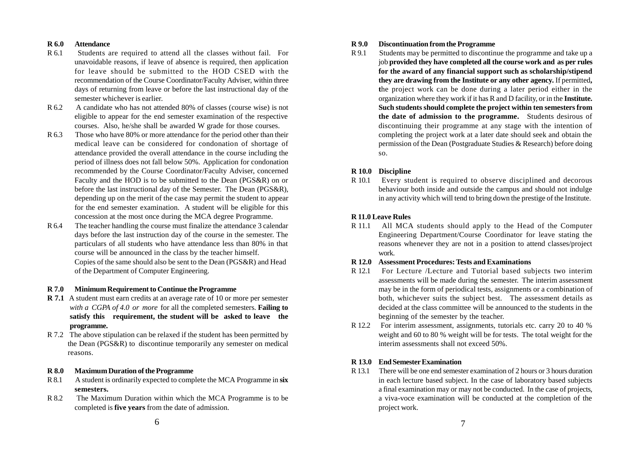# **R 6.0 Attendance**

- R 6.1 Students are required to attend all the classes without fail. For unavoidable reasons, if leave of absence is required, then application for leave should be submitted to the HOD CSED with the recommendation of the Course Coordinator/Faculty Adviser, within three days of returning from leave or before the last instructional day of the semester whichever is earlier.
- R 6.2 A candidate who has not attended 80% of classes (course wise) is not eligible to appear for the end semester examination of the respective courses. Also, he/she shall be awarded W grade for those courses.
- R 6.3 Those who have 80% or more attendance for the period other than their medical leave can be considered for condonation of shortage of attendance provided the overall attendance in the course including the period of illness does not fall below 50%. Application for condonation recommended by the Course Coordinator/Faculty Adviser, concerned Faculty and the HOD is to be submitted to the Dean (PGS&R) on or before the last instructional day of the Semester. The Dean (PGS&R), depending up on the merit of the case may permit the student to appear for the end semester examination. A student will be eligible for this concession at the most once during the MCA degree Programme.
- R6.4 The teacher handling the course must finalize the attendance 3 calendar days before the last instruction day of the course in the semester. The particulars of all students who have attendance less than 80% in that course will be announced in the class by the teacher himself. Copies of the same should also be sent to the Dean (PGS&R) and Head of the Department of Computer Engineering.

# **R 7.0 Minimum Requirementto Continue the Programme**

- **R 7.1** A student must earn credits at an average rate of 10 or more per semester *with a CGPA of 4.0 or more* for all the completed semesters. **Failing to satisfy this requirement, the student will be asked to leave the programme.**
- R 7.2 The above stipulation can be relaxed if the student has been permitted by the Dean (PGS&R) to discontinue temporarily any semester on medical reasons.

#### **R** 8.0 Maximum Duration of the Programme

- R8.1 A student is ordinarily expected to complete the MCA Programme in **six semesters.**
- R 8.2 The Maximum Duration within which the MCA Programme is to be completed is **five years** from the date of admission.

## **R 9.0 Discontinuation from the Programme**

R 9.1 Students may be permitted to discontinue the programme and take up a job **provided they have completed all the course work and as per rules for the award of any financial support such as scholarship/stipend they are drawing from the Institute or any other agency.** If permitted**, t**he project work can be done during a later period either in the organization where they work if it has R and D facility, or in the **Institute. Such studentsshould complete the project within ten semestersfrom the date of admission to the programme.** Students desirous of discontinuing their programme at any stage with the intention of completing the project work at a later date should seek and obtain the permission of the Dean (Postgraduate Studies & Research) before doing so.

# **R 10.0 Discipline**

R 10.1 Every student is required to observe disciplined and decorous behaviour both inside and outside the campus and should not indulge in any activity which will tend to bring down the prestige of the Institute.

# **R 11.0 Leave Rules**

R 11.1 All MCA students should apply to the Head of the Computer Engineering Department/Course Coordinator for leave stating the reasons whenever they are not in a position to attend classes/project work.

# **R 12.0 Assessment Procedures:Tests and Examinations**

- R 12.1 For Lecture /Lecture and Tutorial based subjects two interim assessments will be made during the semester. The interim assessment may be in the form of periodical tests, assignments or a combination of both, whichever suits the subject best. The assessment details as decided at the class committee will be announced to the students in the beginning of the semester by the teacher.
- R 12.2 For interim assessment, assignments, tutorials etc. carry 20 to 40 % weight and 60 to 80 % weight will be for tests. The total weight for the interim assessments shall not exceed 50%.

#### **R 13.0 EndSemesterExamination**

R 13.1 There will be one end semester examination of 2 hours or 3 hours duration in each lecture based subject. In the case of laboratory based subjects a final examination may or may not be conducted. In the case of projects, a viva-voce examination will be conducted at the completion of the project work.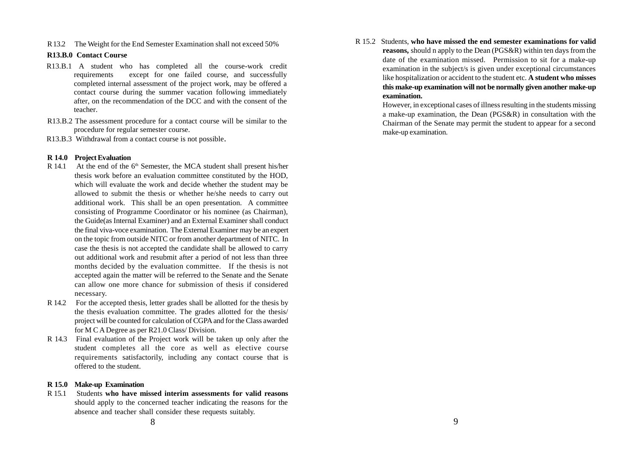R13.2 The Weight for the End Semester Examination shall not exceed 50%

## **R13.B.0 Contact Course**

- R13.B.1 A student who has completed all the course-work credit requirements except for one failed course, and successfully completed internal assessment of the project work, may be offered a contact course during the summer vacation following immediately after, on the recommendation of the DCC and with the consent of the teacher.
- R13.B.2 The assessment procedure for a contact course will be similar to the procedure for regular semester course.
- R13.B.3 Withdrawal from a contact course is not possible.

#### **R** 14.0 Project Evaluation

- $R$  14.1 At the end of the  $6<sup>th</sup>$  Semester, the MCA student shall present his/her thesis work before an evaluation committee constituted by the HOD, which will evaluate the work and decide whether the student may be allowed to submit the thesis or whether he/she needs to carry out additional work. This shall be an open presentation. A committee consisting of Programme Coordinator or his nominee (as Chairman), the Guide(as Internal Examiner) and an External Examiner shall conduct the final viva-voce examination. The External Examiner may be an expert on the topic from outside NITC or from another department of NITC. In case the thesis is not accepted the candidate shall be allowed to carry out additional work and resubmit after a period of not less than three months decided by the evaluation committee. If the thesis is not accepted again the matter will be referred to the Senate and the Senate can allow one more chance for submission of thesis if considered necessary.
- R 14.2 For the accepted thesis, letter grades shall be allotted for the thesis by the thesis evaluation committee. The grades allotted for the thesis/ project will be counted for calculation of CGPAand for the Class awarded for M C ADegree as per R21.0 Class/ Division.
- R 14.3 Final evaluation of the Project work will be taken up only after the student completes all the core as well as elective course requirements satisfactorily, including any contact course that is offered to the student.

# **R 15.0 Make-up Examination**

R 15.1 Students **who have missed interim assessments for valid reasons**  should apply to the concerned teacher indicating the reasons for the absence and teacher shall consider these requests suitably.

R 15.2 Students, **who have missed the end semester examinations for valid reasons,** should n apply to the Dean (PGS&R) within ten days from the date of the examination missed. Permission to sit for a make-up examination in the subject/s is given under exceptional circumstances like hospitalization or accident to the student etc. **A student who misses this make-up examination will not be normally given another make-up examination.**

However, in exceptional cases of illness resulting in the students missing a make-up examination, the Dean (PGS&R) in consultation with the Chairman of the Senate may permit the student to appear for a second make-up examination.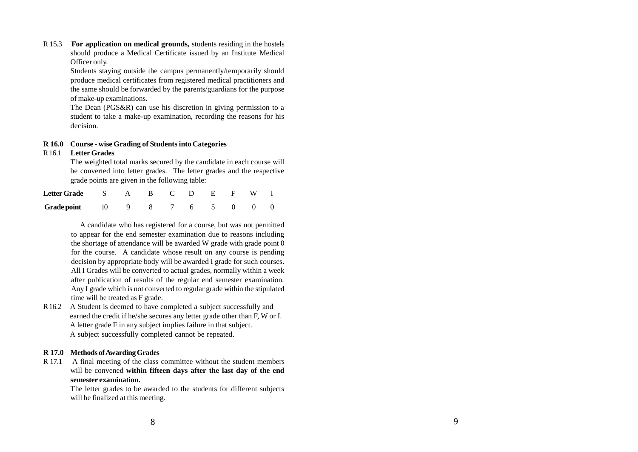R 15.3 **For application on medical grounds,** students residing in the hostels should produce a Medical Certificate issued by an Institute Medical Officer only.

> Students staying outside the campus permanently/temporarily should produce medical certificates from registered medical practitioners and the same should be forwarded by the parents/guardians for the purpose of make-up examinations.

> The Dean (PGS&R) can use his discretion in giving permission to a student to take a make -up examination, recording the reasons for his decision.

## **R 16.0 Cours e - wis e Gradin g o f Student sint o Categories**

# R16.1 **Lette r Grades**

The weighted total marks secured by the candidate in each course will be converted into letter grades. The letter grades and the respective grade points are given in the following table:

| Letter Grade S A B C D E F W I |  |  |  |  |  |
|--------------------------------|--|--|--|--|--|
| Gradepoint 10 9 8 7 6 5 0 0 0  |  |  |  |  |  |

A candidate who has registered for a course, but was not permitted to appear for the end semester examination due to reasons including the shortage of attendance will be awarded W grade with grade point 0 for the course. A candidate whose result on any course is pending decision by appropriate body will be awarded I grade for such courses. All I Grades will be converted to actual grades, normally within a week after publication of results of the regular end semester examination. An y I grad e whic h i s no t converte d t o regula r grad e withi n th e stipulated time will be treated as F grade.

R16.2 A Student is deemed to have completed a subject successfully and earned the credit if he/she secures any letter grade other than F, W or I. A letter grade F in any subject implies failure in that subject. A subject successfully completed cannot be repeated.

# **R 17.0 Method s o f Awardin gGrades**

R 17.1 A final meeting of the class committee without the student members will be convened **within fifteen days after the last day of the end semeste r examination.**

> The letter grades to be awarded to the students for different subjects will be finalized at this meeting.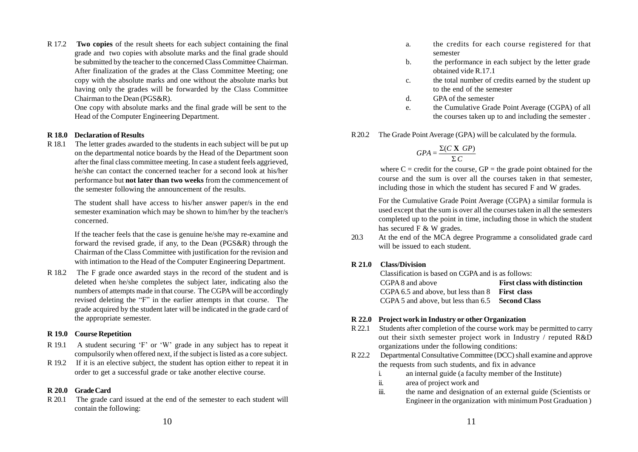R 17.2 **Two copies** of the result sheets for each subject containing the final grade and two copies with absolute marks and the final grade should be submitted by the teacher to the concerned Class Committee Chairman. After finalization of the grades at the Class Committee Meeting; one copy with the absolute marks and one without the absolute marks but having only the grades will be forwarded by the Class Committee Chairman to the Dean (PGS&R).

> One copy with absolute marks and the final grade will be sent to the Head of the Computer Engineering Department.

# **R 18.0 Declaration of Results**

R 18.1 The letter grades awarded to the students in each subject will be put up on the departmental notice boards by the Head of the Department soon after the final class committee meeting. In case a student feels aggrieved, he/she can contact the concerned teacher for a second look at his/her performance but **not later than two weeks** from the commencement of the semester following the announcement of the results.

> The student shall have access to his/her answer paper/s in the end semester examination which may be shown to him/her by the teacher/s concerned.

> If the teacher feels that the case is genuine he/she may re-examine and forward the revised grade, if any, to the Dean (PGS&R) through the Chairman of the Class Committee with justification for the revision and with intimation to the Head of the Computer Engineering Department.

R 18.2 The F grade once awarded stays in the record of the student and is deleted when he/she completes the subject later, indicating also the numbers of attempts made in that course. The CGPA will be accordingly revised deleting the "F" in the earlier attempts in that course. The grade acquired by the student later will be indicated in the grade card of the appropriate semester.

#### **R 19.0 Course Repetition**

- R 19.1 A student securing "F" or "W" grade in any subject has to repeat it compulsorily when offered next, if the subject is listed as a core subject.
- R 19.2 If it is an elective subject, the student has option either to repeat it in order to get a successful grade or take another elective course.

# **R 20.0 GradeCard**

R 20.1 The grade card issued at the end of the semester to each student will contain the following:

- a. the credits for each course registered for that semester
- b. the performance in each subject by the letter grade obtained vide R.17.1
- c. the total number of credits earned by the student up to the end of the semester
- d. GPA of the semester
- e. the Cumulative Grade Point Average (CGPA) of all the courses taken up to and including the semester .

R20.2 The Grade Point Average (GPA) will be calculated by the formula.

$$
GPA = \frac{\Sigma(C \mathbf{X} \cdot GP)}{\Sigma C}
$$

where  $C = \text{credit}$  for the course,  $GP =$  the grade point obtained for the course and the sum is over all the courses taken in that semester, including those in which the student has secured F and W grades.

For the Cumulative Grade Point Average (CGPA) a similar formula is used except that the sum is over all the courses taken in all the semesters completed up to the point in time, including those in which the student has secured F & W grades.

20.3 At the end of the MCA degree Programme a consolidated grade card will be issued to each student.

# **R 21.0 Class/Division**

| Classification is based on CGPA and is as follows: |                                     |  |  |  |  |
|----------------------------------------------------|-------------------------------------|--|--|--|--|
| CGPA 8 and above                                   | <b>First class with distinction</b> |  |  |  |  |
| CGPA 6.5 and above, but less than 8                | <b>First class</b>                  |  |  |  |  |
| CGPA 5 and above, but less than 6.5 Second Class   |                                     |  |  |  |  |

# **R 22.0 Project work in Industry or other Organization**

- R 22.1 Students after completion of the course work may be permitted to carry out their sixth semester project work in Industry / reputed R&D organizations under the following conditions:
- R 22.2 Departmental Consultative Committee (DCC) shall examine and approve the requests from such students, and fix in advance
	- i. an internal guide (a faculty member of the Institute)
	- ii. area of project work and
	- iii. the name and designation of an external guide (Scientists or Engineer in the organization with minimum Post Graduation )